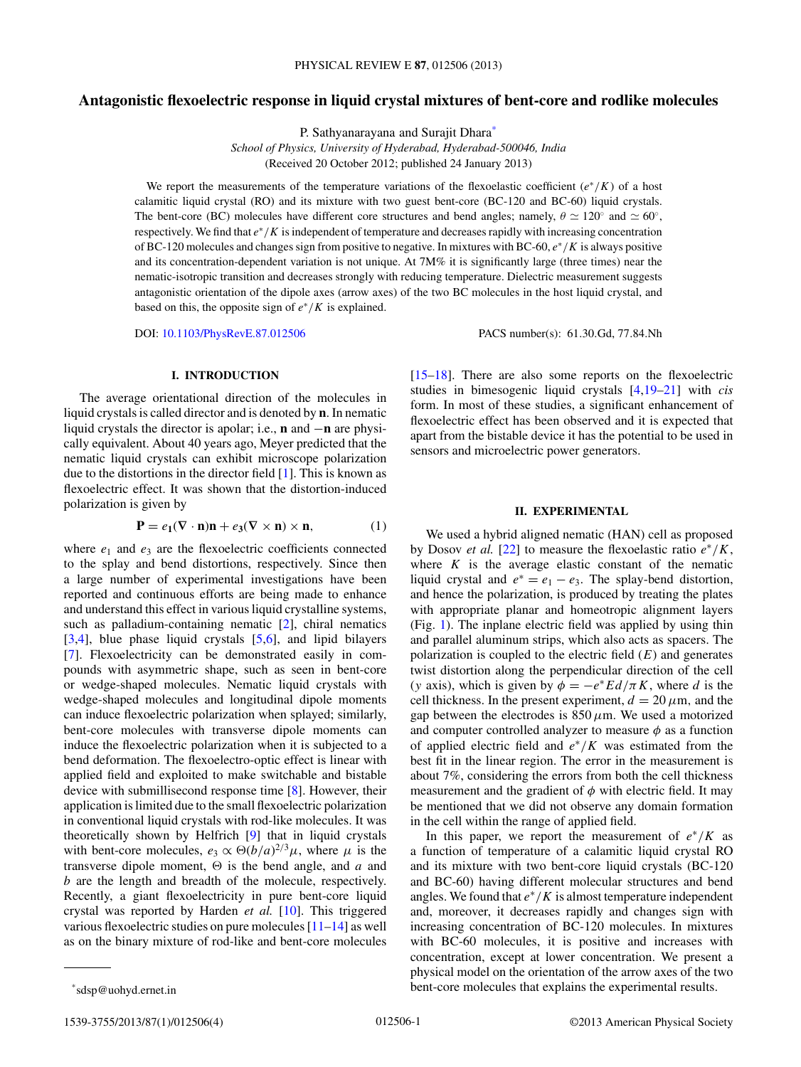# **Antagonistic flexoelectric response in liquid crystal mixtures of bent-core and rodlike molecules**

P. Sathyanarayana and Surajit Dhara\*

*School of Physics, University of Hyderabad, Hyderabad-500046, India* (Received 20 October 2012; published 24 January 2013)

We report the measurements of the temperature variations of the flexoelastic coefficient ( $e^*/K$ ) of a host calamitic liquid crystal (RO) and its mixture with two guest bent-core (BC-120 and BC-60) liquid crystals. The bent-core (BC) molecules have different core structures and bend angles; namely,  $\theta \simeq 120^\circ$  and  $\simeq 60^\circ$ , respectively. We find that  $e^*/K$  is independent of temperature and decreases rapidly with increasing concentration of BC-120 molecules and changes sign from positive to negative. In mixtures with BC-60,  $e^*/K$  is always positive and its concentration-dependent variation is not unique. At 7M% it is significantly large (three times) near the nematic-isotropic transition and decreases strongly with reducing temperature. Dielectric measurement suggests antagonistic orientation of the dipole axes (arrow axes) of the two BC molecules in the host liquid crystal, and based on this, the opposite sign of  $e^*/K$  is explained.

DOI: [10.1103/PhysRevE.87.012506](http://dx.doi.org/10.1103/PhysRevE.87.012506) PACS number(s): 61.30.Gd, 77.84.Nh

#### **I. INTRODUCTION**

The average orientational direction of the molecules in liquid crystals is called director and is denoted by **n**. In nematic liquid crystals the director is apolar; i.e., **n** and −**n** are physically equivalent. About 40 years ago, Meyer predicted that the nematic liquid crystals can exhibit microscope polarization due to the distortions in the director field  $[1]$ . This is known as flexoelectric effect. It was shown that the distortion-induced polarization is given by

$$
\mathbf{P} = e_1(\nabla \cdot \mathbf{n})\mathbf{n} + e_3(\nabla \times \mathbf{n}) \times \mathbf{n},\tag{1}
$$

where  $e_1$  and  $e_3$  are the flexoelectric coefficients connected to the splay and bend distortions, respectively. Since then a large number of experimental investigations have been reported and continuous efforts are being made to enhance and understand this effect in various liquid crystalline systems, such as palladium-containing nematic [\[2\]](#page-3-0), chiral nematics [\[3,4\]](#page-3-0), blue phase liquid crystals [\[5,6\]](#page-3-0), and lipid bilayers [\[7\]](#page-3-0). Flexoelectricity can be demonstrated easily in compounds with asymmetric shape, such as seen in bent-core or wedge-shaped molecules. Nematic liquid crystals with wedge-shaped molecules and longitudinal dipole moments can induce flexoelectric polarization when splayed; similarly, bent-core molecules with transverse dipole moments can induce the flexoelectric polarization when it is subjected to a bend deformation. The flexoelectro-optic effect is linear with applied field and exploited to make switchable and bistable device with submillisecond response time [\[8\]](#page-3-0). However, their application is limited due to the small flexoelectric polarization in conventional liquid crystals with rod-like molecules. It was theoretically shown by Helfrich [\[9\]](#page-3-0) that in liquid crystals with bent-core molecules,  $e_3 \propto \Theta(b/a)^{2/3} \mu$ , where  $\mu$  is the transverse dipole moment,  $\Theta$  is the bend angle, and a and b are the length and breadth of the molecule, respectively. Recently, a giant flexoelectricity in pure bent-core liquid crystal was reported by Harden *et al.* [\[10\]](#page-3-0). This triggered various flexoelectric studies on pure molecules [\[11–14\]](#page-3-0) as well as on the binary mixture of rod-like and bent-core molecules [\[15–18\]](#page-3-0). There are also some reports on the flexoelectric studies in bimesogenic liquid crystals [\[4,19–21\]](#page-3-0) with *cis* form. In most of these studies, a significant enhancement of flexoelectric effect has been observed and it is expected that apart from the bistable device it has the potential to be used in sensors and microelectric power generators.

#### **II. EXPERIMENTAL**

We used a hybrid aligned nematic (HAN) cell as proposed by Dosov *et al.* [\[22\]](#page-3-0) to measure the flexoelastic ratio  $e^*/K$ , where  $K$  is the average elastic constant of the nematic liquid crystal and  $e^* = e_1 - e_3$ . The splay-bend distortion, and hence the polarization, is produced by treating the plates with appropriate planar and homeotropic alignment layers (Fig. [1\)](#page-1-0). The inplane electric field was applied by using thin and parallel aluminum strips, which also acts as spacers. The polarization is coupled to the electric field  $(E)$  and generates twist distortion along the perpendicular direction of the cell (y axis), which is given by  $\phi = -e^*Ed/\pi K$ , where d is the cell thickness. In the present experiment,  $d = 20 \,\mu \text{m}$ , and the gap between the electrodes is  $850 \mu m$ . We used a motorized and computer controlled analyzer to measure  $\phi$  as a function of applied electric field and  $e^*/K$  was estimated from the best fit in the linear region. The error in the measurement is about 7%, considering the errors from both the cell thickness measurement and the gradient of  $\phi$  with electric field. It may be mentioned that we did not observe any domain formation in the cell within the range of applied field.

In this paper, we report the measurement of  $e^*/K$  as a function of temperature of a calamitic liquid crystal RO and its mixture with two bent-core liquid crystals (BC-120 and BC-60) having different molecular structures and bend angles. We found that  $e^*/K$  is almost temperature independent and, moreover, it decreases rapidly and changes sign with increasing concentration of BC-120 molecules. In mixtures with BC-60 molecules, it is positive and increases with concentration, except at lower concentration. We present a physical model on the orientation of the arrow axes of the two bent-core molecules that explains the experimental results.

<sup>\*</sup>sdsp@uohyd.ernet.in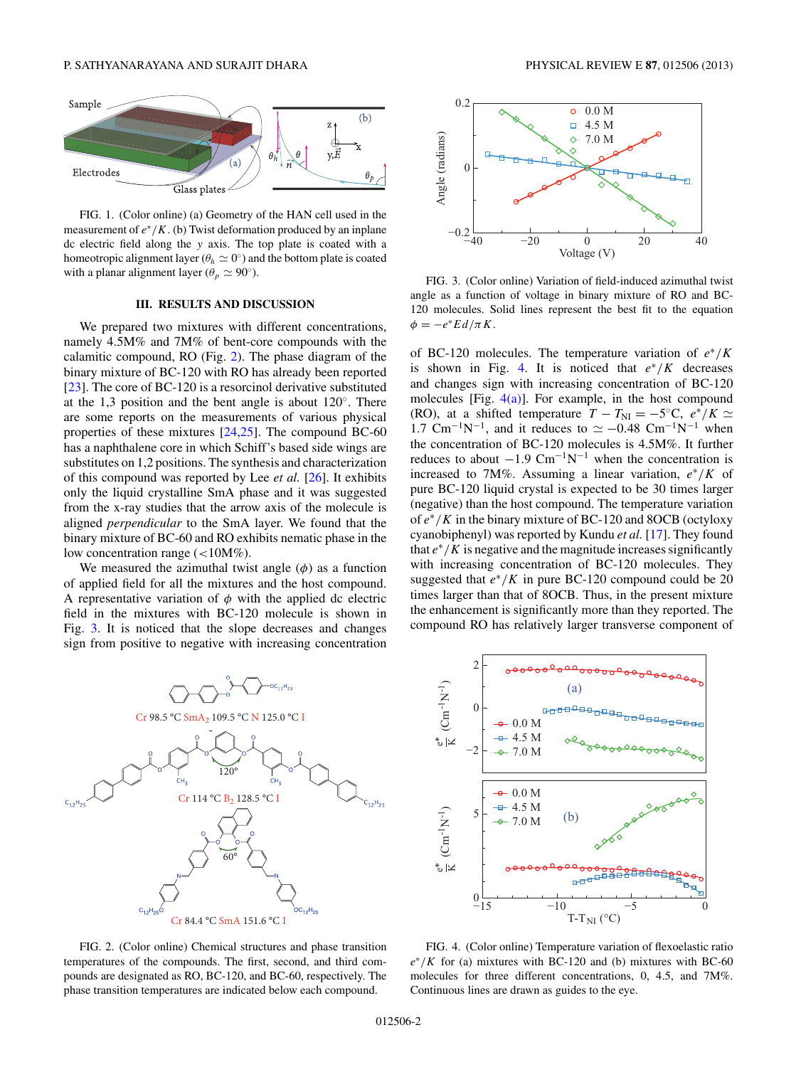<span id="page-1-0"></span>P. SATHYANARAYANA AND SURAJIT DHARA PHYSICAL REVIEW E **87**, 012506 (2013)



FIG. 1. (Color online) (a) Geometry of the HAN cell used in the measurement of  $e^*/K$ . (b) Twist deformation produced by an inplane dc electric field along the y axis. The top plate is coated with a homeotropic alignment layer ( $\theta_h \simeq 0^{\circ}$ ) and the bottom plate is coated with a planar alignment layer ( $\theta_p \simeq 90^\circ$ ).

#### **III. RESULTS AND DISCUSSION**

We prepared two mixtures with different concentrations, namely 4.5M% and 7M% of bent-core compounds with the calamitic compound, RO (Fig. 2). The phase diagram of the binary mixture of BC-120 with RO has already been reported [\[23\]](#page-3-0). The core of BC-120 is a resorcinol derivative substituted at the 1,3 position and the bent angle is about  $120°$ . There are some reports on the measurements of various physical properties of these mixtures  $[24,25]$ . The compound BC-60 has a naphthalene core in which Schiff's based side wings are substitutes on 1,2 positions. The synthesis and characterization of this compound was reported by Lee *et al.* [\[26\]](#page-3-0). It exhibits only the liquid crystalline SmA phase and it was suggested from the x-ray studies that the arrow axis of the molecule is aligned *perpendicular* to the SmA layer. We found that the binary mixture of BC-60 and RO exhibits nematic phase in the low concentration range  $\left($  <10M%).

We measured the azimuthal twist angle  $(\phi)$  as a function of applied field for all the mixtures and the host compound. A representative variation of  $\phi$  with the applied dc electric field in the mixtures with BC-120 molecule is shown in Fig. 3. It is noticed that the slope decreases and changes sign from positive to negative with increasing concentration



FIG. 2. (Color online) Chemical structures and phase transition temperatures of the compounds. The first, second, and third compounds are designated as RO, BC-120, and BC-60, respectively. The phase transition temperatures are indicated below each compound.



FIG. 3. (Color online) Variation of field-induced azimuthal twist angle as a function of voltage in binary mixture of RO and BC-120 molecules. Solid lines represent the best fit to the equation  $\phi = -e^*E d/\pi K.$ 

of BC-120 molecules. The temperature variation of  $e^*/K$ is shown in Fig. 4. It is noticed that  $e^*/K$  decreases and changes sign with increasing concentration of BC-120 molecules [Fig.  $4(a)$ ]. For example, in the host compound (RO), at a shifted temperature  $T - T_{\text{NI}} = -5$ °C,  $e^*/K \simeq$ 1.7 Cm<sup>-1</sup>N<sup>-1</sup>, and it reduces to  $\simeq -0.48$  Cm<sup>-1</sup>N<sup>-1</sup> when the concentration of BC-120 molecules is 4.5M%. It further reduces to about  $-1.9 \text{ cm}^{-1}\text{N}^{-1}$  when the concentration is increased to 7M%. Assuming a linear variation,  $e^*/K$  of pure BC-120 liquid crystal is expected to be 30 times larger (negative) than the host compound. The temperature variation of  $e^*/K$  in the binary mixture of BC-120 and 8OCB (octyloxy cyanobiphenyl) was reported by Kundu *et al.* [\[17\]](#page-3-0). They found that  $e^*/K$  is negative and the magnitude increases significantly with increasing concentration of BC-120 molecules. They suggested that  $e^*/K$  in pure BC-120 compound could be 20 times larger than that of 8OCB. Thus, in the present mixture the enhancement is significantly more than they reported. The compound RO has relatively larger transverse component of



FIG. 4. (Color online) Temperature variation of flexoelastic ratio  $e^*/K$  for (a) mixtures with BC-120 and (b) mixtures with BC-60 molecules for three different concentrations, 0, 4.5, and 7M%. Continuous lines are drawn as guides to the eye.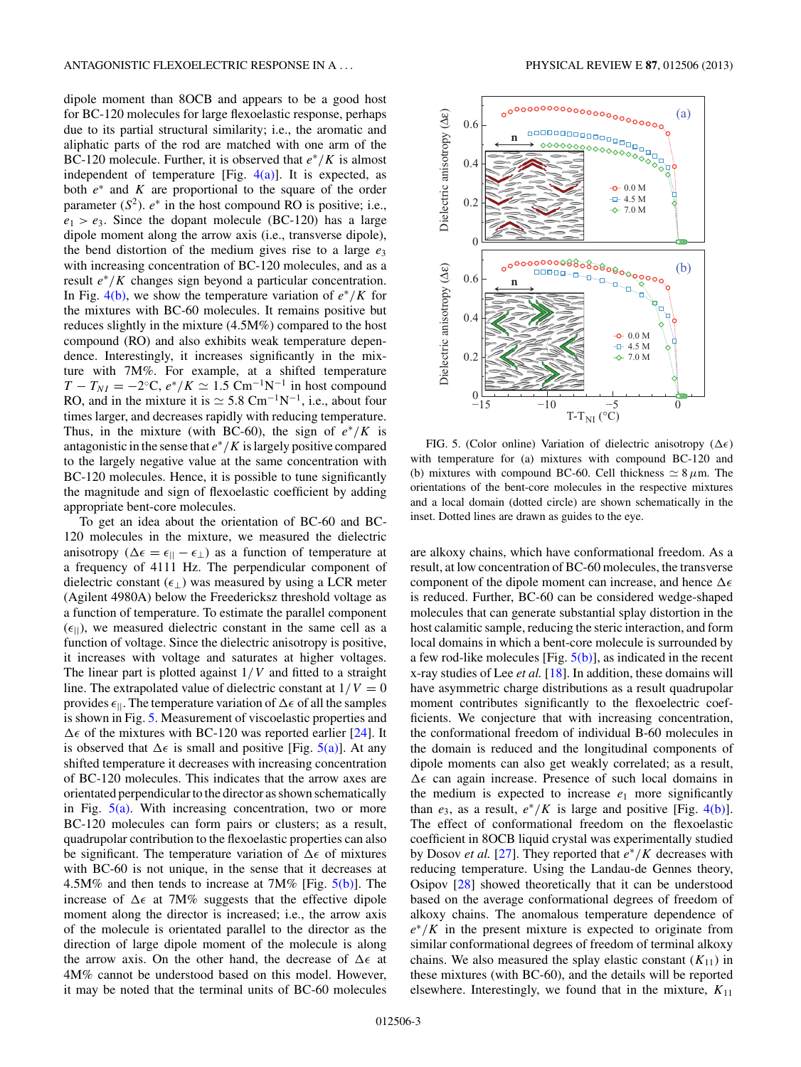<span id="page-2-0"></span>dipole moment than 8OCB and appears to be a good host for BC-120 molecules for large flexoelastic response, perhaps due to its partial structural similarity; i.e., the aromatic and aliphatic parts of the rod are matched with one arm of the BC-120 molecule. Further, it is observed that  $e^*/K$  is almost independent of temperature [Fig.  $4(a)$ ]. It is expected, as both  $e^*$  and K are proportional to the square of the order parameter  $(S^2)$ .  $e^*$  in the host compound RO is positive; i.e.,  $e_1 > e_3$ . Since the dopant molecule (BC-120) has a large dipole moment along the arrow axis (i.e., transverse dipole), the bend distortion of the medium gives rise to a large  $e_3$ with increasing concentration of BC-120 molecules, and as a result  $e^*/K$  changes sign beyond a particular concentration. In Fig. [4\(b\),](#page-1-0) we show the temperature variation of  $e^*/K$  for the mixtures with BC-60 molecules. It remains positive but reduces slightly in the mixture (4.5M%) compared to the host compound (RO) and also exhibits weak temperature dependence. Interestingly, it increases significantly in the mixture with 7M%. For example, at a shifted temperature  $T - T_{NI} = -2$ <sup>o</sup>C,  $e^*/K \simeq 1.5$  Cm<sup>-1</sup>N<sup>-1</sup> in host compound RO, and in the mixture it is  $\simeq$  5.8 Cm<sup>-1</sup>N<sup>-1</sup>, i.e., about four times larger, and decreases rapidly with reducing temperature. Thus, in the mixture (with BC-60), the sign of  $e^*/K$  is antagonistic in the sense that  $e^*/K$  is largely positive compared to the largely negative value at the same concentration with BC-120 molecules. Hence, it is possible to tune significantly the magnitude and sign of flexoelastic coefficient by adding appropriate bent-core molecules.

To get an idea about the orientation of BC-60 and BC-120 molecules in the mixture, we measured the dielectric anisotropy ( $\Delta \epsilon = \epsilon_{||} - \epsilon_{\perp}$ ) as a function of temperature at a frequency of 4111 Hz. The perpendicular component of dielectric constant  $(\epsilon_{\perp})$  was measured by using a LCR meter (Agilent 4980A) below the Freedericksz threshold voltage as a function of temperature. To estimate the parallel component  $(\epsilon_{\parallel})$ , we measured dielectric constant in the same cell as a function of voltage. Since the dielectric anisotropy is positive, it increases with voltage and saturates at higher voltages. The linear part is plotted against  $1/V$  and fitted to a straight line. The extrapolated value of dielectric constant at  $1/V = 0$ provides  $\epsilon_{\parallel}$ . The temperature variation of  $\Delta \epsilon$  of all the samples is shown in Fig. 5. Measurement of viscoelastic properties and  $\Delta \epsilon$  of the mixtures with BC-120 was reported earlier [\[24\]](#page-3-0). It is observed that  $\Delta \epsilon$  is small and positive [Fig. 5(a)]. At any shifted temperature it decreases with increasing concentration of BC-120 molecules. This indicates that the arrow axes are orientated perpendicular to the director as shown schematically in Fig. 5(a). With increasing concentration, two or more BC-120 molecules can form pairs or clusters; as a result, quadrupolar contribution to the flexoelastic properties can also be significant. The temperature variation of  $\Delta \epsilon$  of mixtures with BC-60 is not unique, in the sense that it decreases at 4.5M% and then tends to increase at 7M% [Fig.  $5(b)$ ]. The increase of  $\Delta \epsilon$  at 7M% suggests that the effective dipole moment along the director is increased; i.e., the arrow axis of the molecule is orientated parallel to the director as the direction of large dipole moment of the molecule is along the arrow axis. On the other hand, the decrease of  $\Delta \epsilon$  at 4M% cannot be understood based on this model. However, it may be noted that the terminal units of BC-60 molecules



FIG. 5. (Color online) Variation of dielectric anisotropy ( $\Delta \epsilon$ ) with temperature for (a) mixtures with compound BC-120 and (b) mixtures with compound BC-60. Cell thickness  $\simeq 8 \,\mu$ m. The orientations of the bent-core molecules in the respective mixtures and a local domain (dotted circle) are shown schematically in the inset. Dotted lines are drawn as guides to the eye.

are alkoxy chains, which have conformational freedom. As a result, at low concentration of BC-60 molecules, the transverse component of the dipole moment can increase, and hence  $\Delta \epsilon$ is reduced. Further, BC-60 can be considered wedge-shaped molecules that can generate substantial splay distortion in the host calamitic sample, reducing the steric interaction, and form local domains in which a bent-core molecule is surrounded by a few rod-like molecules [Fig.  $5(b)$ ], as indicated in the recent x-ray studies of Lee *et al.* [\[18\]](#page-3-0). In addition, these domains will have asymmetric charge distributions as a result quadrupolar moment contributes significantly to the flexoelectric coefficients. We conjecture that with increasing concentration, the conformational freedom of individual B-60 molecules in the domain is reduced and the longitudinal components of dipole moments can also get weakly correlated; as a result,  $\Delta \epsilon$  can again increase. Presence of such local domains in the medium is expected to increase  $e_1$  more significantly than  $e_3$ , as a result,  $e^*/K$  is large and positive [Fig. [4\(b\)\]](#page-1-0). The effect of conformational freedom on the flexoelastic coefficient in 8OCB liquid crystal was experimentally studied by Dosov *et al.* [\[27\]](#page-3-0). They reported that  $e^*/K$  decreases with reducing temperature. Using the Landau-de Gennes theory, Osipov [\[28\]](#page-3-0) showed theoretically that it can be understood based on the average conformational degrees of freedom of alkoxy chains. The anomalous temperature dependence of  $e^*/K$  in the present mixture is expected to originate from similar conformational degrees of freedom of terminal alkoxy chains. We also measured the splay elastic constant  $(K_{11})$  in these mixtures (with BC-60), and the details will be reported elsewhere. Interestingly, we found that in the mixture,  $K_{11}$